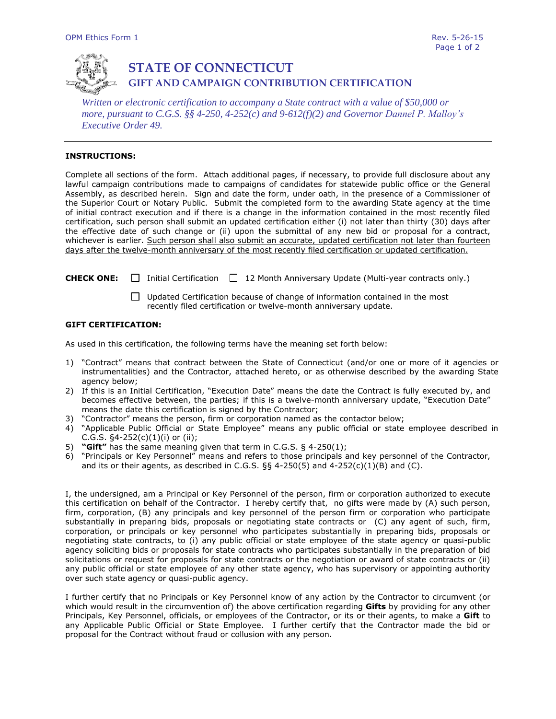

# **STATE OF CONNECTICUT GIFT AND CAMPAIGN CONTRIBUTION CERTIFICATION**

*Written or electronic certification to accompany a State contract with a value of \$50,000 or more, pursuant to C.G.S. §§ 4-250, 4-252(c) and 9-612(f)(2) and Governor Dannel P. Malloy's Executive Order 49.*

## **INSTRUCTIONS:**

Complete all sections of the form. Attach additional pages, if necessary, to provide full disclosure about any lawful campaign contributions made to campaigns of candidates for statewide public office or the General Assembly, as described herein. Sign and date the form, under oath, in the presence of a Commissioner of the Superior Court or Notary Public. Submit the completed form to the awarding State agency at the time of initial contract execution and if there is a change in the information contained in the most recently filed certification, such person shall submit an updated certification either (i) not later than thirty (30) days after the effective date of such change or (ii) upon the submittal of any new bid or proposal for a contract, whichever is earlier. Such person shall also submit an accurate, updated certification not later than fourteen days after the twelve-month anniversary of the most recently filed certification or updated certification.

**CHECK ONE:** □ Initial Certification □ 12 Month Anniversary Update (Multi-year contracts only.)

 $\Box$  Updated Certification because of change of information contained in the most recently filed certification or twelve-month anniversary update.

### **GIFT CERTIFICATION:**

As used in this certification, the following terms have the meaning set forth below:

- 1) "Contract" means that contract between the State of Connecticut (and/or one or more of it agencies or instrumentalities) and the Contractor, attached hereto, or as otherwise described by the awarding State agency below;
- 2) If this is an Initial Certification, "Execution Date" means the date the Contract is fully executed by, and becomes effective between, the parties; if this is a twelve-month anniversary update, "Execution Date" means the date this certification is signed by the Contractor;
- 3) "Contractor" means the person, firm or corporation named as the contactor below;
- 4) "Applicable Public Official or State Employee" means any public official or state employee described in C.G.S.  $\S4 - 252(c)(1)(i)$  or (ii);
- 5) **"Gift"** has the same meaning given that term in C.G.S. § 4-250(1);
- 6) "Principals or Key Personnel" means and refers to those principals and key personnel of the Contractor, and its or their agents, as described in C.G.S.  $\S$ § 4-250(5) and 4-252(c)(1)(B) and (C).

I, the undersigned, am a Principal or Key Personnel of the person, firm or corporation authorized to execute this certification on behalf of the Contractor. I hereby certify that, no gifts were made by (A) such person, firm, corporation, (B) any principals and key personnel of the person firm or corporation who participate substantially in preparing bids, proposals or negotiating state contracts or (C) any agent of such, firm, corporation, or principals or key personnel who participates substantially in preparing bids, proposals or negotiating state contracts, to (i) any public official or state employee of the state agency or quasi-public agency soliciting bids or proposals for state contracts who participates substantially in the preparation of bid solicitations or request for proposals for state contracts or the negotiation or award of state contracts or (ii) any public official or state employee of any other state agency, who has supervisory or appointing authority over such state agency or quasi-public agency.

I further certify that no Principals or Key Personnel know of any action by the Contractor to circumvent (or which would result in the circumvention of) the above certification regarding **Gifts** by providing for any other Principals, Key Personnel, officials, or employees of the Contractor, or its or their agents, to make a **Gift** to any Applicable Public Official or State Employee. I further certify that the Contractor made the bid or proposal for the Contract without fraud or collusion with any person.